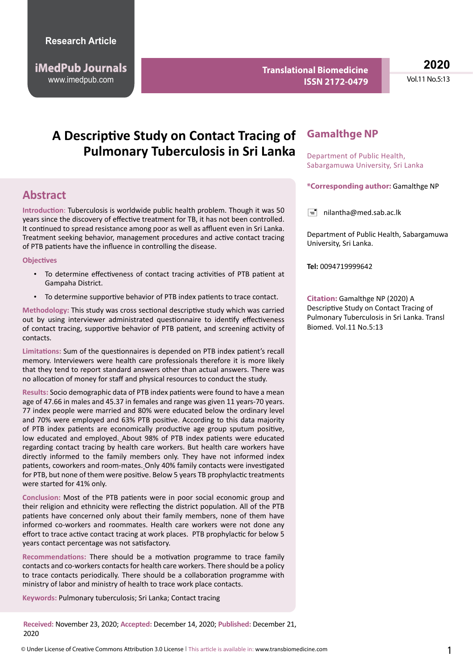http://www.imedpub.com www.imedpub.com **iMedPub Journals**

**Translational Biomedicine ISSN 2172-0479**

**2020** Vol.11 No.5:13

# **A Descriptive Study on Contact Tracing of Pulmonary Tuberculosis in Sri Lanka**

## **Abstract**

**Introduction**: Tuberculosis is worldwide public health problem. Though it was 50 years since the discovery of effective treatment for TB, it has not been controlled. It continued to spread resistance among poor as well as affluent even in Sri Lanka. Treatment seeking behavior, management procedures and active contact tracing of PTB patients have the influence in controlling the disease.

#### **Objectives**

- To determine effectiveness of contact tracing activities of PTB patient at Gampaha District.
- To determine supportive behavior of PTB index patients to trace contact.

**Methodology:** This study was cross sectional descriptive study which was carried out by using interviewer administrated questionnaire to identify effectiveness of contact tracing, supportive behavior of PTB patient, and screening activity of contacts.

**Limitations:** Sum of the questionnaires is depended on PTB index patient's recall memory. Interviewers were health care professionals therefore it is more likely that they tend to report standard answers other than actual answers. There was no allocation of money for staff and physical resources to conduct the study.

**Results:** Socio demographic data of PTB index patients were found to have a mean age of 47.66 in males and 45.37 in females and range was given 11 years-70 years. 77 index people were married and 80% were educated below the ordinary level and 70% were employed and 63% PTB positive. According to this data majority of PTB index patients are economically productive age group sputum positive, low educated and employed. About 98% of PTB index patients were educated regarding contact tracing by health care workers. But health care workers have directly informed to the family members only. They have not informed index patients, coworkers and room-mates. Only 40% family contacts were investigated for PTB, but none of them were positive. Below 5 years TB prophylactic treatments were started for 41% only.

**Conclusion:** Most of the PTB patients were in poor social economic group and their religion and ethnicity were reflecting the district population. All of the PTB patients have concerned only about their family members, none of them have informed co-workers and roommates. Health care workers were not done any effort to trace active contact tracing at work places. PTB prophylactic for below 5 years contact percentage was not satisfactory.

**Recommendations:** There should be a motivation programme to trace family contacts and co-workers contacts for health care workers. There should be a policy to trace contacts periodically. There should be a collaboration programme with ministry of labor and ministry of health to trace work place contacts.

**Keywords:** Pulmonary tuberculosis; Sri Lanka; Contact tracing

**Received:** November 23, 2020; **Accepted:** December 14, 2020; **Published:** December 21, 2020

### **Gamalthge NP**

Department of Public Health, Sabargamuwa University, Sri Lanka

**\*Corresponding author:** Gamalthge NP

 $\equiv$  [nilantha@med.sab.ac.lk](mailto:nilantha@med.sab.ac.lk)

Department of Public Health, Sabargamuwa University, Sri Lanka.

**Tel:** 0094719999642

**Citation:** Gamalthge NP (2020) A Descriptive Study on Contact Tracing of Pulmonary Tuberculosis in Sri Lanka. Transl Biomed. Vol.11 No.5:13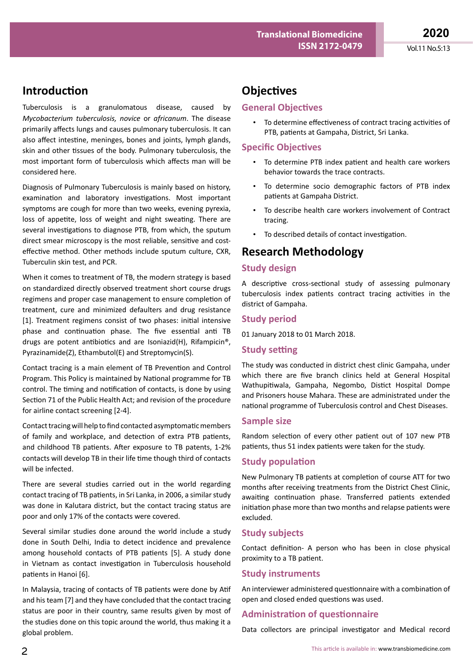## **Introduction**

Tuberculosis is a granulomatous disease, caused by *Mycobacterium tuberculosis, novice* or *africanum*. The disease primarily affects lungs and causes pulmonary tuberculosis. It can also affect intestine, meninges, bones and joints, lymph glands, skin and other tissues of the body. Pulmonary tuberculosis, the most important form of tuberculosis which affects man will be considered here.

Diagnosis of Pulmonary Tuberculosis is mainly based on history, examination and laboratory investigations. Most important symptoms are cough for more than two weeks, evening pyrexia, loss of appetite, loss of weight and night sweating. There are several investigations to diagnose PTB, from which, the sputum direct smear microscopy is the most reliable, sensitive and costeffective method. Other methods include sputum culture, CXR, Tuberculin skin test, and PCR.

When it comes to treatment of TB, the modern strategy is based on standardized directly observed treatment short course drugs regimens and proper case management to ensure completion of treatment, cure and minimized defaulters and drug resistance [1]. Treatment regimens consist of two phases: initial intensive phase and continuation phase. The five essential anti TB drugs are potent antibiotics and are Isoniazid(H), Rifampicin®, Pyrazinamide(Z), Ethambutol(E) and Streptomycin(S).

Contact tracing is a main element of TB Prevention and Control Program. This Policy is maintained by National programme for TB control. The timing and notification of contacts, is done by using Section 71 of the Public Health Act; and revision of the procedure for airline contact screening [2-4].

Contact tracing will help to find contacted asymptomatic members of family and workplace, and detection of extra PTB patients, and childhood TB patients. After exposure to TB patents, 1-2% contacts will develop TB in their life time though third of contacts will be infected.

There are several studies carried out in the world regarding contact tracing of TB patients, in Sri Lanka, in 2006, a similar study was done in Kalutara district, but the contact tracing status are poor and only 17% of the contacts were covered.

Several similar studies done around the world include a study done in South Delhi, India to detect incidence and prevalence among household contacts of PTB patients [5]. A study done in Vietnam as contact investigation in Tuberculosis household patients in Hanoi [6].

In Malaysia, tracing of contacts of TB patients were done by Atif and his team [7] and they have concluded that the contact tracing status are poor in their country, same results given by most of the studies done on this topic around the world, thus making it a global problem.

## **Objectives**

#### **General Objectives**

• To determine effectiveness of contract tracing activities of PTB, patients at Gampaha, District, Sri Lanka.

#### **Specific Objectives**

- To determine PTB index patient and health care workers behavior towards the trace contracts.
- To determine socio demographic factors of PTB index patients at Gampaha District.
- To describe health care workers involvement of Contract tracing.
- To described details of contact investigation.

### **Research Methodology**

#### **Study design**

A descriptive cross-sectional study of assessing pulmonary tuberculosis index patients contract tracing activities in the district of Gampaha.

#### **Study period**

01 January 2018 to 01 March 2018.

#### **Study setting**

The study was conducted in district chest clinic Gampaha, under which there are five branch clinics held at General Hospital Wathupitiwala, Gampaha, Negombo, Distict Hospital Dompe and Prisoners house Mahara. These are administrated under the national programme of Tuberculosis control and Chest Diseases.

#### **Sample size**

Random selection of every other patient out of 107 new PTB patients, thus 51 index patients were taken for the study.

#### **Study population**

New Pulmonary TB patients at completion of course ATT for two months after receiving treatments from the District Chest Clinic, awaiting continuation phase. Transferred patients extended initiation phase more than two months and relapse patients were excluded.

#### **Study subjects**

Contact definition- A person who has been in close physical proximity to a TB patient.

#### **Study instruments**

An interviewer administered questionnaire with a combination of open and closed ended questions was used.

#### **Administration of questionnaire**

Data collectors are principal investigator and Medical record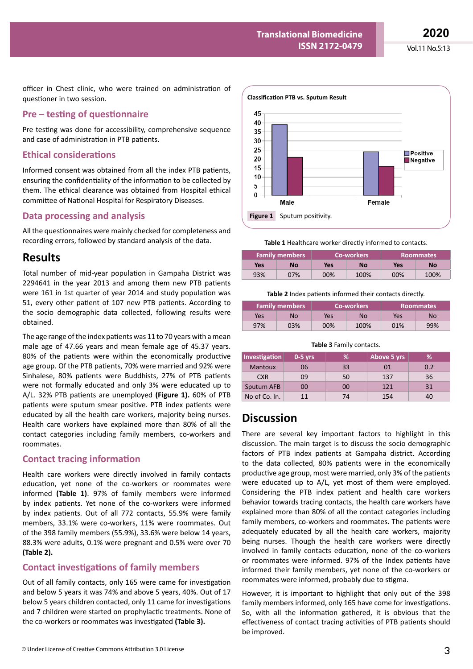Vol.11 No.5:13

officer in Chest clinic, who were trained on administration of questioner in two session.

### **Pre – testing of questionnaire**

Pre testing was done for accessibility, comprehensive sequence and case of administration in PTB patients.

### **Ethical considerations**

Informed consent was obtained from all the index PTB patients, ensuring the confidentiality of the information to be collected by them. The ethical clearance was obtained from Hospital ethical committee of National Hospital for Respiratory Diseases.

### **Data processing and analysis**

All the questionnaires were mainly checked for completeness and recording errors, followed by standard analysis of the data.

## **Results**

Total number of mid-year population in Gampaha District was 2294641 in the year 2013 and among them new PTB patients were 161 in 1st quarter of year 2014 and study population was 51, every other patient of 107 new PTB patients. According to the socio demographic data collected, following results were obtained.

The age range of the index patients was 11 to 70 years with a mean male age of 47.66 years and mean female age of 45.37 years. 80% of the patients were within the economically productive age group. Of the PTB patients, 70% were married and 92% were Sinhalese, 80% patients were Buddhists, 27% of PTB patients were not formally educated and only 3% were educated up to A/L. 32% PTB patients are unemployed **(Figure 1).** 60% of PTB patients were sputum smear positive. PTB index patients were educated by all the health care workers, majority being nurses. Health care workers have explained more than 80% of all the contact categories including family members, co-workers and roommates.

### **Contact tracing information**

Health care workers were directly involved in family contacts education, yet none of the co-workers or roommates were informed **(Table 1)**. 97% of family members were informed by index patients. Yet none of the co-workers were informed by index patients. Out of all 772 contacts, 55.9% were family members, 33.1% were co-workers, 11% were roommates. Out of the 398 family members (55.9%), 33.6% were below 14 years, 88.3% were adults, 0.1% were pregnant and 0.5% were over 70 **(Table 2).**

### **Contact investigations of family members**

Out of all family contacts, only 165 were came for investigation and below 5 years it was 74% and above 5 years, 40%. Out of 17 below 5 years children contacted, only 11 came for investigations and 7 children were started on prophylactic treatments. None of the co-workers or roommates was investigated **(Table 3).**



**Table 1** Healthcare worker directly informed to contacts.

| <b>Family members</b> |     | ا Co-workers |      | <b>Roommates</b> |      |
|-----------------------|-----|--------------|------|------------------|------|
| Yes                   | No  | Yes          | No   | Yes              | No   |
| 93%                   | 07% | 00%          | 100% | 00%              | 100% |

#### **Table 2** Index patients informed their contacts directly.

| <b>Family members</b> |     | <b>Co-workers</b> |      | <b>Roommates</b> |     |
|-----------------------|-----|-------------------|------|------------------|-----|
| Yes                   | No  | Yes               | No   | Yes              | No  |
| 97%                   | 03% | $00\%$            | 100% | 01%              | 99% |

#### **Table 3** Family contacts.

| Investigation  | $0-5$ yrs | ℅  | Above 5 yrs | ℅   |
|----------------|-----------|----|-------------|-----|
| <b>Mantoux</b> | 06        | 33 | 01          | 0.2 |
| <b>CXR</b>     | 09        | 50 | 137         | 36  |
| Sputum AFB     | 00        | 00 | 121         | 31  |
| No of Co. In.  | 11        | 74 | 154         | 40  |

## **Discussion**

There are several key important factors to highlight in this discussion. The main target is to discuss the socio demographic factors of PTB index patients at Gampaha district. According to the data collected, 80% patients were in the economically productive age group, most were married, only 3% of the patients were educated up to A/L, yet most of them were employed. Considering the PTB index patient and health care workers behavior towards tracing contacts, the health care workers have explained more than 80% of all the contact categories including family members, co-workers and roommates. The patients were adequately educated by all the health care workers, majority being nurses. Though the health care workers were directly involved in family contacts education, none of the co-workers or roommates were informed. 97% of the Index patients have informed their family members, yet none of the co-workers or roommates were informed, probably due to stigma.

However, it is important to highlight that only out of the 398 family members informed, only 165 have come for investigations. So, with all the information gathered, it is obvious that the effectiveness of contact tracing activities of PTB patients should be improved.